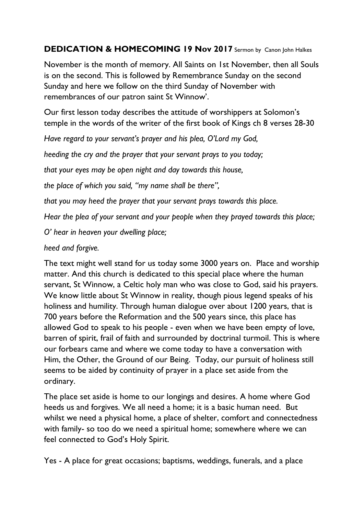## **DEDICATION & HOMECOMING 19 Nov 2017** Sermon by Canon John Halkes

November is the month of memory. All Saints on 1st November, then all Souls is on the second. This is followed by Remembrance Sunday on the second Sunday and here we follow on the third Sunday of November with remembrances of our patron saint St Winnow'.

Our first lesson today describes the attitude of worshippers at Solomon's temple in the words of the writer of the first book of Kings ch 8 verses 28-30

*Have regard to your servant's prayer and his plea, O'Lord my God,*

*heeding the cry and the prayer that your servant prays to you today;*

*that your eyes may be open night and day towards this house,*

*the place of which you said, "my name shall be there",*

*that you may heed the prayer that your servant prays towards this place.* 

*Hear the plea of your servant and your people when they prayed towards this place;*

*O' hear in heaven your dwelling place;*

## *heed and forgive.*

The text might well stand for us today some 3000 years on. Place and worship matter. And this church is dedicated to this special place where the human servant, St Winnow, a Celtic holy man who was close to God, said his prayers. We know little about St Winnow in reality, though pious legend speaks of his holiness and humility. Through human dialogue over about 1200 years, that is 700 years before the Reformation and the 500 years since, this place has allowed God to speak to his people - even when we have been empty of love, barren of spirit, frail of faith and surrounded by doctrinal turmoil. This is where our forbears came and where we come today to have a conversation with Him, the Other, the Ground of our Being. Today, our pursuit of holiness still seems to be aided by continuity of prayer in a place set aside from the ordinary.

The place set aside is home to our longings and desires. A home where God heeds us and forgives. We all need a home; it is a basic human need. But whilst we need a physical home, a place of shelter, comfort and connectedness with family- so too do we need a spiritual home; somewhere where we can feel connected to God's Holy Spirit.

Yes - A place for great occasions; baptisms, weddings, funerals, and a place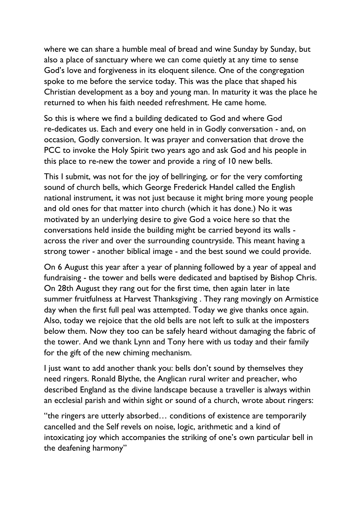where we can share a humble meal of bread and wine Sunday by Sunday, but also a place of sanctuary where we can come quietly at any time to sense God's love and forgiveness in its eloquent silence. One of the congregation spoke to me before the service today. This was the place that shaped his Christian development as a boy and young man. In maturity it was the place he returned to when his faith needed refreshment. He came home.

So this is where we find a building dedicated to God and where God re-dedicates us. Each and every one held in in Godly conversation - and, on occasion, Godly conversion. It was prayer and conversation that drove the PCC to invoke the Holy Spirit two years ago and ask God and his people in this place to re-new the tower and provide a ring of 10 new bells.

This I submit, was not for the joy of bellringing, or for the very comforting sound of church bells, which George Frederick Handel called the English national instrument, it was not just because it might bring more young people and old ones for that matter into church (which it has done.) No it was motivated by an underlying desire to give God a voice here so that the conversations held inside the building might be carried beyond its walls across the river and over the surrounding countryside. This meant having a strong tower - another biblical image - and the best sound we could provide.

On 6 August this year after a year of planning followed by a year of appeal and fundraising - the tower and bells were dedicated and baptised by Bishop Chris. On 28th August they rang out for the first time, then again later in late summer fruitfulness at Harvest Thanksgiving . They rang movingly on Armistice day when the first full peal was attempted. Today we give thanks once again. Also, today we rejoice that the old bells are not left to sulk at the imposters below them. Now they too can be safely heard without damaging the fabric of the tower. And we thank Lynn and Tony here with us today and their family for the gift of the new chiming mechanism.

I just want to add another thank you: bells don't sound by themselves they need ringers. Ronald Blythe, the Anglican rural writer and preacher, who described England as the divine landscape because a traveller is always within an ecclesial parish and within sight or sound of a church, wrote about ringers:

"the ringers are utterly absorbed… conditions of existence are temporarily cancelled and the Self revels on noise, logic, arithmetic and a kind of intoxicating joy which accompanies the striking of one's own particular bell in the deafening harmony"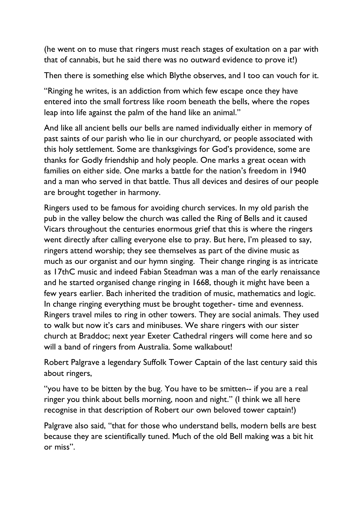(he went on to muse that ringers must reach stages of exultation on a par with that of cannabis, but he said there was no outward evidence to prove it!)

Then there is something else which Blythe observes, and I too can vouch for it.

"Ringing he writes, is an addiction from which few escape once they have entered into the small fortress like room beneath the bells, where the ropes leap into life against the palm of the hand like an animal."

And like all ancient bells our bells are named individually either in memory of past saints of our parish who lie in our churchyard, or people associated with this holy settlement. Some are thanksgivings for God's providence, some are thanks for Godly friendship and holy people. One marks a great ocean with families on either side. One marks a battle for the nation's freedom in 1940 and a man who served in that battle. Thus all devices and desires of our people are brought together in harmony.

Ringers used to be famous for avoiding church services. In my old parish the pub in the valley below the church was called the Ring of Bells and it caused Vicars throughout the centuries enormous grief that this is where the ringers went directly after calling everyone else to pray. But here, I'm pleased to say, ringers attend worship; they see themselves as part of the divine music as much as our organist and our hymn singing. Their change ringing is as intricate as 17thC music and indeed Fabian Steadman was a man of the early renaissance and he started organised change ringing in 1668, though it might have been a few years earlier. Bach inherited the tradition of music, mathematics and logic. In change ringing everything must be brought together- time and evenness. Ringers travel miles to ring in other towers. They are social animals. They used to walk but now it's cars and minibuses. We share ringers with our sister church at Braddoc; next year Exeter Cathedral ringers will come here and so will a band of ringers from Australia. Some walkabout!

Robert Palgrave a legendary Suffolk Tower Captain of the last century said this about ringers,

"you have to be bitten by the bug. You have to be smitten-- if you are a real ringer you think about bells morning, noon and night." (I think we all here recognise in that description of Robert our own beloved tower captain!)

Palgrave also said, "that for those who understand bells, modern bells are best because they are scientifically tuned. Much of the old Bell making was a bit hit or miss".